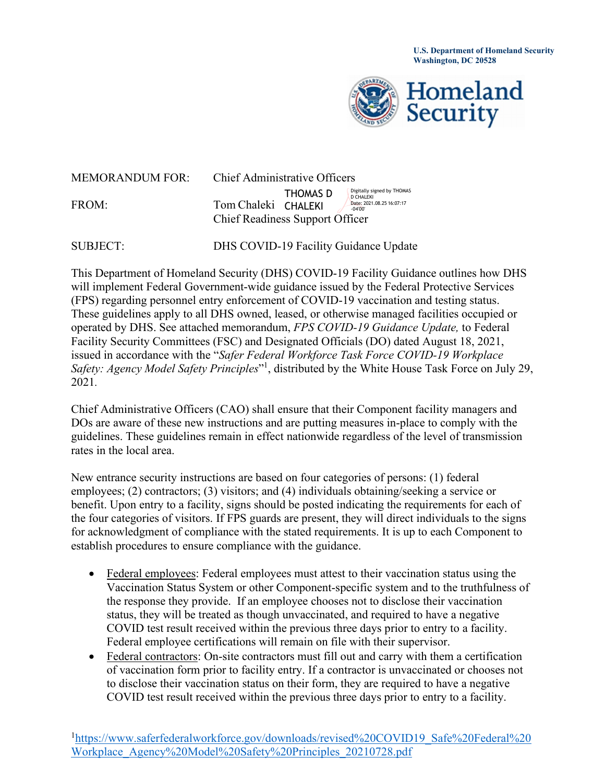**U.S. Department of Homeland Security Washington, DC 20528**



| <b>MEMORANDUM FOR:</b> | <b>Chief Administrative Officers</b>                          |          |                                                                                          |
|------------------------|---------------------------------------------------------------|----------|------------------------------------------------------------------------------------------|
| FROM:                  | Tom Chaleki CHALEKI<br><b>Chief Readiness Support Officer</b> | THOMAS D | Digitally signed by THOMAS<br><b>D CHALEKI</b><br>Date: 2021.08.25 16:07:17<br>$-04'00'$ |

SUBJECT: DHS COVID-19 Facility Guidance Update

This Department of Homeland Security (DHS) COVID-19 Facility Guidance outlines how DHS will implement Federal Government-wide guidance issued by the Federal Protective Services (FPS) regarding personnel entry enforcement of COVID-19 vaccination and testing status. These guidelines apply to all DHS owned, leased, or otherwise managed facilities occupied or operated by DHS. See attached memorandum, *FPS COVID-19 Guidance Update,* to Federal Facility Security Committees (FSC) and Designated Officials (DO) dated August 18, 2021, issued in accordance with the "*Safer Federal Workforce Task Force COVID-19 Workplace Safety: Agency Model Safety Principles*"1 , distributed by the White House Task Force on July 29, 2021*.*

Chief Administrative Officers (CAO) shall ensure that their Component facility managers and DOs are aware of these new instructions and are putting measures in-place to comply with the guidelines. These guidelines remain in effect nationwide regardless of the level of transmission rates in the local area.

New entrance security instructions are based on four categories of persons: (1) federal employees; (2) contractors; (3) visitors; and (4) individuals obtaining/seeking a service or benefit. Upon entry to a facility, signs should be posted indicating the requirements for each of the four categories of visitors. If FPS guards are present, they will direct individuals to the signs for acknowledgment of compliance with the stated requirements. It is up to each Component to establish procedures to ensure compliance with the guidance.

- Federal employees: Federal employees must attest to their vaccination status using the Vaccination Status System or other Component-specific system and to the truthfulness of the response they provide. If an employee chooses not to disclose their vaccination status, they will be treated as though unvaccinated, and required to have a negative COVID test result received within the previous three days prior to entry to a facility. Federal employee certifications will remain on file with their supervisor.
- Federal contractors: On-site contractors must fill out and carry with them a certification of vaccination form prior to facility entry. If a contractor is unvaccinated or chooses not to disclose their vaccination status on their form, they are required to have a negative COVID test result received within the previous three days prior to entry to a facility.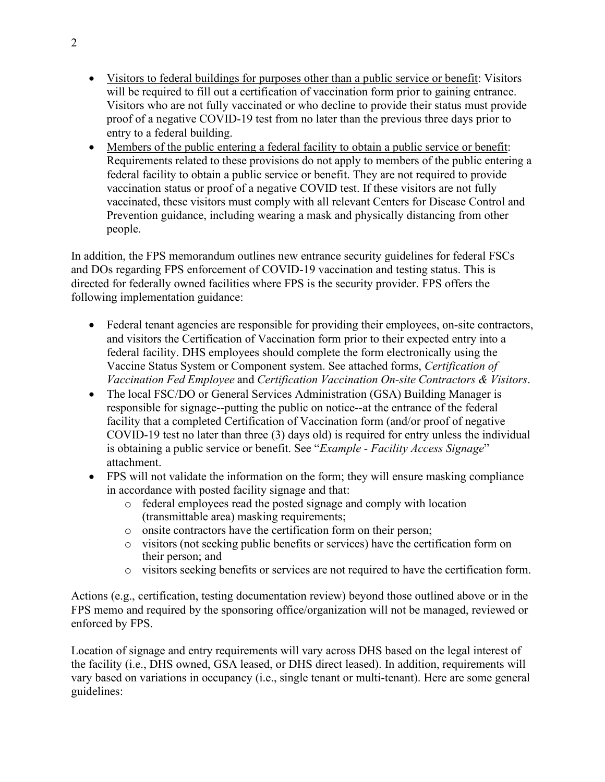- Visitors to federal buildings for purposes other than a public service or benefit: Visitors will be required to fill out a certification of vaccination form prior to gaining entrance. Visitors who are not fully vaccinated or who decline to provide their status must provide proof of a negative COVID-19 test from no later than the previous three days prior to entry to a federal building.
- Members of the public entering a federal facility to obtain a public service or benefit: Requirements related to these provisions do not apply to members of the public entering a federal facility to obtain a public service or benefit. They are not required to provide vaccination status or proof of a negative COVID test. If these visitors are not fully vaccinated, these visitors must comply with all relevant Centers for Disease Control and Prevention guidance, including wearing a mask and physically distancing from other people.

In addition, the FPS memorandum outlines new entrance security guidelines for federal FSCs and DOs regarding FPS enforcement of COVID-19 vaccination and testing status. This is directed for federally owned facilities where FPS is the security provider. FPS offers the following implementation guidance:

- Federal tenant agencies are responsible for providing their employees, on-site contractors, and visitors the Certification of Vaccination form prior to their expected entry into a federal facility. DHS employees should complete the form electronically using the Vaccine Status System or Component system. See attached forms, *Certification of Vaccination Fed Employee* and *Certification Vaccination On-site Contractors & Visitors*.
- The local FSC/DO or General Services Administration (GSA) Building Manager is responsible for signage--putting the public on notice--at the entrance of the federal facility that a completed Certification of Vaccination form (and/or proof of negative COVID-19 test no later than three (3) days old) is required for entry unless the individual is obtaining a public service or benefit. See "*Example - Facility Access Signage*" attachment.
- FPS will not validate the information on the form; they will ensure masking compliance in accordance with posted facility signage and that:
	- o federal employees read the posted signage and comply with location (transmittable area) masking requirements;
	- o onsite contractors have the certification form on their person;
	- o visitors (not seeking public benefits or services) have the certification form on their person; and
	- o visitors seeking benefits or services are not required to have the certification form.

Actions (e.g., certification, testing documentation review) beyond those outlined above or in the FPS memo and required by the sponsoring office/organization will not be managed, reviewed or enforced by FPS.

Location of signage and entry requirements will vary across DHS based on the legal interest of the facility (i.e., DHS owned, GSA leased, or DHS direct leased). In addition, requirements will vary based on variations in occupancy (i.e., single tenant or multi-tenant). Here are some general guidelines: